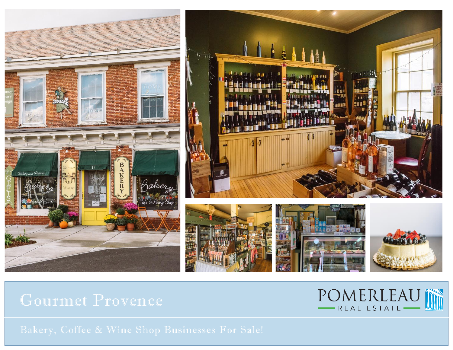



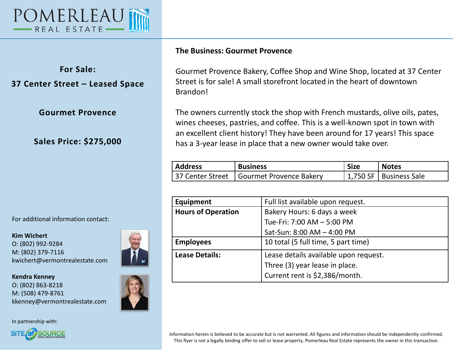

**For Sale: 37 Center Street – Leased Space**

**Gourmet Provence**

**Sales Price: \$275,000**

For additional information contact:

**Kim Wichert** O: (802) 992-9284 M: (802) 379-7116 kwichert@vermontrealestate.com



In partnership with:



## **The Business: Gourmet Provence**

Gourmet Provence Bakery, Coffee Shop and Wine Shop, located at 37 Center Street is for sale! A small storefront located in the heart of downtown Brandon!

The owners currently stock the shop with French mustards, olive oils, pates, wines cheeses, pastries, and coffee. This is a well-known spot in town with an excellent client history! They have been around for 17 years! This space has a 3-year lease in place that a new owner would take over.

| <b>Address</b> | <b>Business</b>                            | <b>Size</b> | <b>Notes</b>             |
|----------------|--------------------------------------------|-------------|--------------------------|
|                | 37 Center Street   Gourmet Provence Bakery |             | 1,750 SF   Business Sale |

| Equipment                 | Full list available upon request.     |  |
|---------------------------|---------------------------------------|--|
| <b>Hours of Operation</b> | Bakery Hours: 6 days a week           |  |
|                           | Tue-Fri: 7:00 AM - 5:00 PM            |  |
|                           | Sat-Sun: 8:00 AM - 4:00 PM            |  |
| <b>Employees</b>          | 10 total (5 full time, 5 part time)   |  |
| <b>Lease Details:</b>     | Lease details available upon request. |  |
|                           | Three (3) year lease in place.        |  |
|                           | Current rent is \$2,386/month.        |  |
|                           |                                       |  |

Information herein is believed to be accurate but is not warranted. All figures and information should be independently confirmed. This flyer is not a legally binding offer to sell or lease property. Pomerleau Real Estate represents the owner in this transaction.